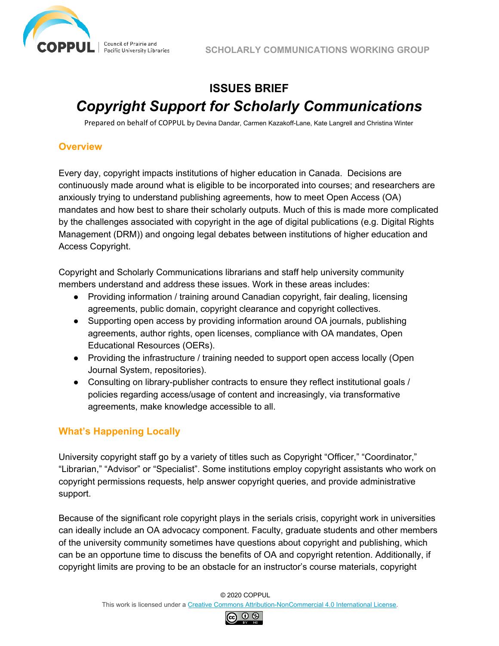

# **ISSUES BRIEF** *Copyright Support for Scholarly Communications*

Prepared on behalf of COPPUL by Devina Dandar, Carmen Kazakoff-Lane, Kate Langrell and Christina Winter

#### **Overview**

Every day, copyright impacts institutions of higher education in Canada. Decisions are continuously made around what is eligible to be incorporated into courses; and researchers are anxiously trying to understand publishing agreements, how to meet Open Access (OA) mandates and how best to share their scholarly outputs. Much of this is made more complicated by the challenges associated with copyright in the age of digital publications (e.g. Digital Rights Management (DRM)) and ongoing legal debates between institutions of higher education and Access Copyright.

Copyright and Scholarly Communications librarians and staff help university community members understand and address these issues. Work in these areas includes:

- Providing information / training around Canadian copyright, fair dealing, licensing agreements, public domain, copyright clearance and copyright collectives.
- Supporting open access by providing information around OA journals, publishing agreements, author rights, open licenses, compliance with OA mandates, Open Educational Resources (OERs).
- Providing the infrastructure / training needed to support open access locally (Open Journal System, repositories).
- Consulting on library-publisher contracts to ensure they reflect institutional goals / policies regarding access/usage of content and increasingly, via transformative agreements, make knowledge accessible to all.

#### **What's Happening Locally**

University copyright staff go by a variety of titles such as Copyright "Officer," "Coordinator," "Librarian," "Advisor" or "Specialist". Some institutions employ copyright assistants who work on copyright permissions requests, help answer copyright queries, and provide administrative support.

Because of the significant role copyright plays in the serials crisis, copyright work in universities can ideally include an OA advocacy component. Faculty, graduate students and other members of the university community sometimes have questions about copyright and publishing, which can be an opportune time to discuss the benefits of OA and copyright retention. Additionally, if copyright limits are proving to be an obstacle for an instructor's course materials, copyright

© 2020 COPPUL

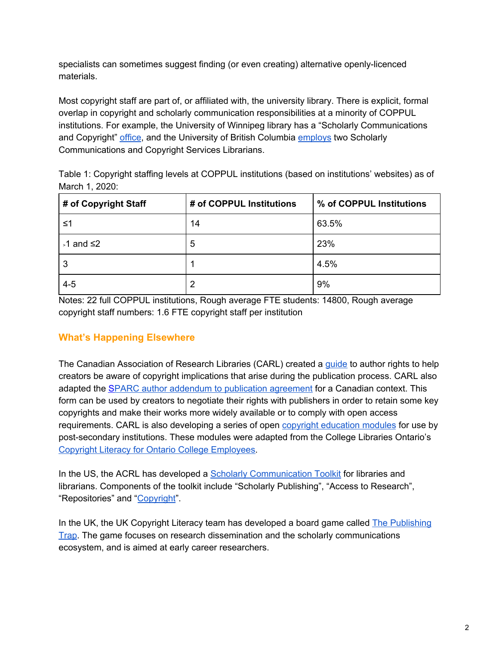specialists can sometimes suggest finding (or even creating) alternative openly-licenced materials.

Most copyright staff are part of, or affiliated with, the university library. There is explicit, formal overlap in copyright and scholarly communication responsibilities at a minority of COPPUL institutions. For example, the University of Winnipeg library has a "Scholarly Communications and Copyright" [office](https://library.uwinnipeg.ca/about-us/staff-directory.html), and the University of British Columbia [employs](https://scholcomm.ubc.ca/) two Scholarly Communications and Copyright Services Librarians.

Table 1: Copyright staffing levels at COPPUL institutions (based on institutions' websites) as of March 1, 2020:

| # of Copyright Staff | # of COPPUL Institutions | % of COPPUL Institutions |
|----------------------|--------------------------|--------------------------|
| ≤1                   | 14                       | 63.5%                    |
| ⋅1 and $≤2$          | 5                        | 23%                      |
| 3                    |                          | 4.5%                     |
| $4 - 5$              | 2                        | 9%                       |

Notes: 22 full COPPUL institutions, Rough average FTE students: 14800, Rough average copyright staff numbers: 1.6 FTE copyright staff per institution

## **What's Happening Elsewhere**

The Canadian Association of Research Libraries (CARL) created a [guide](http://www.carl-abrc.ca/wp-content/uploads/2019/05/CARL_Guide_Cdn_addendum_EN_2019.pdf) to author rights to help creators be aware of copyright implications that arise during the publication process. CARL also adapted the SPARC author addendum to [publication](http://www.carl-abrc.ca/wp-content/uploads/2019/05/Cdn_author_addendum_EN_2019.pdf) agreement for a Canadian context. This form can be used by creators to negotiate their rights with publishers in order to retain some key copyrights and make their works more widely available or to comply with open access requirements. CARL is also developing a series of open copyright [education](http://www.carl-abrc.ca/copyright-open-educational-resource/) modules for use by post-secondary institutions. These modules were adapted from the College Libraries Ontario's Copyright Literacy for Ontario College [Employees.](https://tlp-lpa.ca/faculty-toolkit/copyright)

In the US, the ACRL has developed a Scholarly [Communication](https://acrl.libguides.com/scholcomm/toolkit) Toolkit for libraries and librarians. Components of the toolkit include "Scholarly Publishing", "Access to Research", "Repositories" and "[Copyright](https://acrl.libguides.com/scholcomm/toolkit/copyright)".

In the UK, the UK Copyright Literacy team has developed a board game called The [Publishing](https://copyrightliteracy.org/resources/the-publishing-trap/) [Trap](https://copyrightliteracy.org/resources/the-publishing-trap/). The game focuses on research dissemination and the scholarly communications ecosystem, and is aimed at early career researchers.